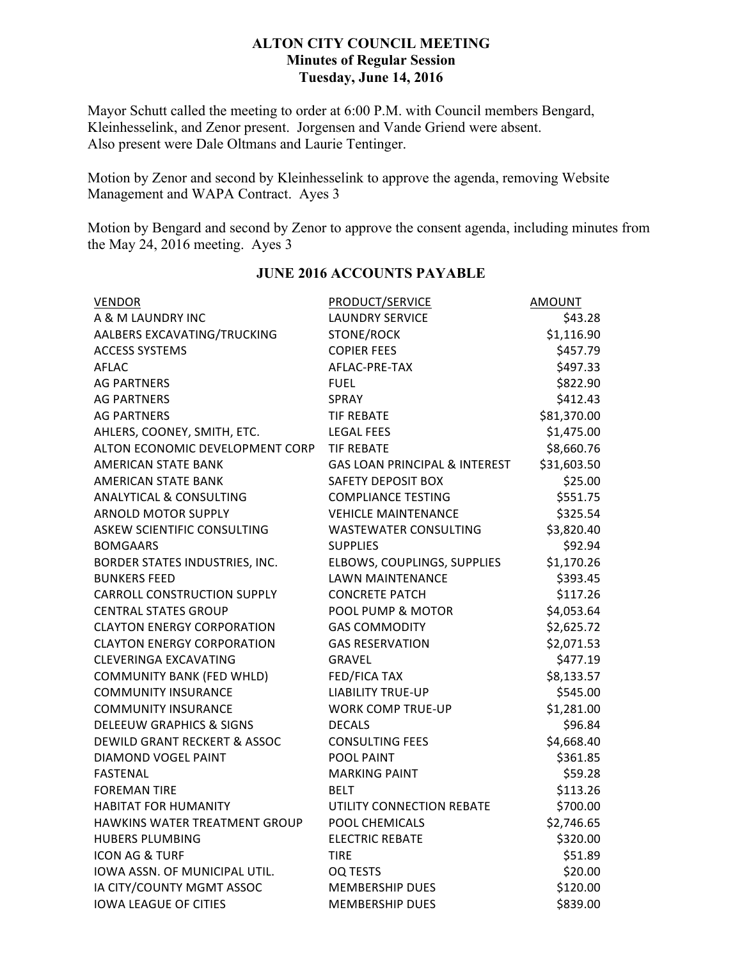## **ALTON CITY COUNCIL MEETING Minutes of Regular Session Tuesday, June 14, 2016**

Mayor Schutt called the meeting to order at 6:00 P.M. with Council members Bengard, Kleinhesselink, and Zenor present. Jorgensen and Vande Griend were absent. Also present were Dale Oltmans and Laurie Tentinger.

Motion by Zenor and second by Kleinhesselink to approve the agenda, removing Website Management and WAPA Contract. Ayes 3

Motion by Bengard and second by Zenor to approve the consent agenda, including minutes from the May 24, 2016 meeting. Ayes 3

| <b>VENDOR</b>                        | PRODUCT/SERVICE                          | AMOUNT      |
|--------------------------------------|------------------------------------------|-------------|
| A & M LAUNDRY INC                    | <b>LAUNDRY SERVICE</b>                   | \$43.28     |
| AALBERS EXCAVATING/TRUCKING          | STONE/ROCK                               | \$1,116.90  |
| <b>ACCESS SYSTEMS</b>                | <b>COPIER FEES</b>                       | \$457.79    |
| <b>AFLAC</b>                         | AFLAC-PRE-TAX                            | \$497.33    |
| <b>AG PARTNERS</b>                   | <b>FUEL</b>                              | \$822.90    |
| <b>AG PARTNERS</b>                   | <b>SPRAY</b>                             | \$412.43    |
| <b>AG PARTNERS</b>                   | <b>TIF REBATE</b>                        | \$81,370.00 |
| AHLERS, COONEY, SMITH, ETC.          | <b>LEGAL FEES</b>                        | \$1,475.00  |
| ALTON ECONOMIC DEVELOPMENT CORP      | <b>TIF REBATE</b>                        | \$8,660.76  |
| <b>AMERICAN STATE BANK</b>           | <b>GAS LOAN PRINCIPAL &amp; INTEREST</b> | \$31,603.50 |
| <b>AMERICAN STATE BANK</b>           | <b>SAFETY DEPOSIT BOX</b>                | \$25.00     |
| <b>ANALYTICAL &amp; CONSULTING</b>   | <b>COMPLIANCE TESTING</b>                | \$551.75    |
| <b>ARNOLD MOTOR SUPPLY</b>           | <b>VEHICLE MAINTENANCE</b>               | \$325.54    |
| <b>ASKEW SCIENTIFIC CONSULTING</b>   | <b>WASTEWATER CONSULTING</b>             | \$3,820.40  |
| <b>BOMGAARS</b>                      | <b>SUPPLIES</b>                          | \$92.94     |
| BORDER STATES INDUSTRIES, INC.       | ELBOWS, COUPLINGS, SUPPLIES              | \$1,170.26  |
| <b>BUNKERS FEED</b>                  | <b>LAWN MAINTENANCE</b>                  | \$393.45    |
| <b>CARROLL CONSTRUCTION SUPPLY</b>   | <b>CONCRETE PATCH</b>                    | \$117.26    |
| <b>CENTRAL STATES GROUP</b>          | POOL PUMP & MOTOR                        | \$4,053.64  |
| <b>CLAYTON ENERGY CORPORATION</b>    | <b>GAS COMMODITY</b>                     | \$2,625.72  |
| <b>CLAYTON ENERGY CORPORATION</b>    | <b>GAS RESERVATION</b>                   | \$2,071.53  |
| <b>CLEVERINGA EXCAVATING</b>         | <b>GRAVEL</b>                            | \$477.19    |
| <b>COMMUNITY BANK (FED WHLD)</b>     | <b>FED/FICA TAX</b>                      | \$8,133.57  |
| <b>COMMUNITY INSURANCE</b>           | <b>LIABILITY TRUE-UP</b>                 | \$545.00    |
| <b>COMMUNITY INSURANCE</b>           | <b>WORK COMP TRUE-UP</b>                 | \$1,281.00  |
| <b>DELEEUW GRAPHICS &amp; SIGNS</b>  | <b>DECALS</b>                            | \$96.84     |
| DEWILD GRANT RECKERT & ASSOC         | <b>CONSULTING FEES</b>                   | \$4,668.40  |
| DIAMOND VOGEL PAINT                  | POOL PAINT                               | \$361.85    |
| <b>FASTENAL</b>                      | <b>MARKING PAINT</b>                     | \$59.28     |
| <b>FOREMAN TIRE</b>                  | BELT                                     | \$113.26    |
| <b>HABITAT FOR HUMANITY</b>          | UTILITY CONNECTION REBATE                | \$700.00    |
| <b>HAWKINS WATER TREATMENT GROUP</b> | POOL CHEMICALS                           | \$2,746.65  |
| <b>HUBERS PLUMBING</b>               | <b>ELECTRIC REBATE</b>                   | \$320.00    |
| <b>ICON AG &amp; TURF</b>            | <b>TIRE</b>                              | \$51.89     |
| IOWA ASSN. OF MUNICIPAL UTIL.        | OQ TESTS                                 | \$20.00     |
| IA CITY/COUNTY MGMT ASSOC            | <b>MEMBERSHIP DUES</b>                   | \$120.00    |
| <b>IOWA LEAGUE OF CITIES</b>         | <b>MEMBERSHIP DUES</b>                   | \$839.00    |

## **JUNE 2016 ACCOUNTS PAYABLE**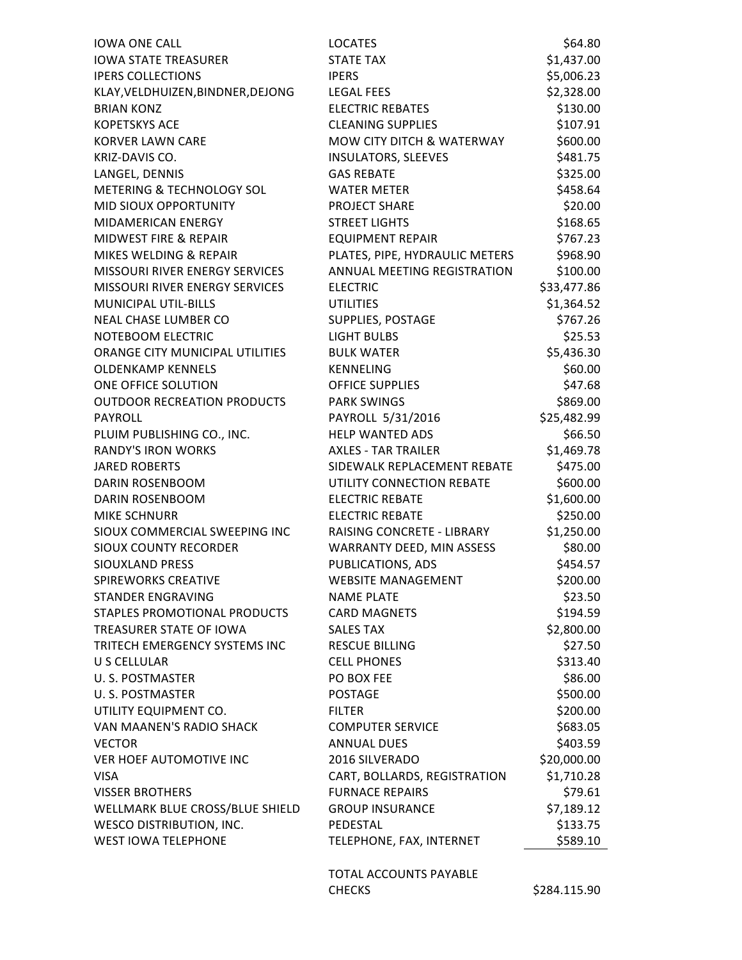| <b>IOWA ONE CALL</b>                  | <b>LOCATES</b>                 | \$64.80     |
|---------------------------------------|--------------------------------|-------------|
| <b>IOWA STATE TREASURER</b>           | <b>STATE TAX</b>               | \$1,437.00  |
| <b>IPERS COLLECTIONS</b>              | <b>IPERS</b>                   | \$5,006.23  |
| KLAY, VELDHUIZEN, BINDNER, DEJONG     | <b>LEGAL FEES</b>              | \$2,328.00  |
| <b>BRIAN KONZ</b>                     | <b>ELECTRIC REBATES</b>        | \$130.00    |
| <b>KOPETSKYS ACE</b>                  | <b>CLEANING SUPPLIES</b>       | \$107.91    |
| <b>KORVER LAWN CARE</b>               | MOW CITY DITCH & WATERWAY      | \$600.00    |
| KRIZ-DAVIS CO.                        | <b>INSULATORS, SLEEVES</b>     | \$481.75    |
| LANGEL, DENNIS                        | <b>GAS REBATE</b>              | \$325.00    |
| METERING & TECHNOLOGY SOL             | <b>WATER METER</b>             | \$458.64    |
| <b>MID SIOUX OPPORTUNITY</b>          | PROJECT SHARE                  | \$20.00     |
| MIDAMERICAN ENERGY                    | <b>STREET LIGHTS</b>           | \$168.65    |
| <b>MIDWEST FIRE &amp; REPAIR</b>      | <b>EQUIPMENT REPAIR</b>        | \$767.23    |
| MIKES WELDING & REPAIR                | PLATES, PIPE, HYDRAULIC METERS | \$968.90    |
| MISSOURI RIVER ENERGY SERVICES        | ANNUAL MEETING REGISTRATION    | \$100.00    |
| <b>MISSOURI RIVER ENERGY SERVICES</b> | <b>ELECTRIC</b>                | \$33,477.86 |
| <b>MUNICIPAL UTIL-BILLS</b>           | <b>UTILITIES</b>               | \$1,364.52  |
| <b>NEAL CHASE LUMBER CO</b>           | SUPPLIES, POSTAGE              | \$767.26    |
| NOTEBOOM ELECTRIC                     | <b>LIGHT BULBS</b>             | \$25.53     |
| ORANGE CITY MUNICIPAL UTILITIES       | <b>BULK WATER</b>              | \$5,436.30  |
| <b>OLDENKAMP KENNELS</b>              | <b>KENNELING</b>               | \$60.00     |
| ONE OFFICE SOLUTION                   | <b>OFFICE SUPPLIES</b>         | \$47.68     |
| <b>OUTDOOR RECREATION PRODUCTS</b>    | <b>PARK SWINGS</b>             | \$869.00    |
| PAYROLL                               | PAYROLL 5/31/2016              | \$25,482.99 |
| PLUIM PUBLISHING CO., INC.            | HELP WANTED ADS                | \$66.50     |
| <b>RANDY'S IRON WORKS</b>             | <b>AXLES - TAR TRAILER</b>     | \$1,469.78  |
| <b>JARED ROBERTS</b>                  | SIDEWALK REPLACEMENT REBATE    | \$475.00    |
| <b>DARIN ROSENBOOM</b>                | UTILITY CONNECTION REBATE      | \$600.00    |
| <b>DARIN ROSENBOOM</b>                | <b>ELECTRIC REBATE</b>         | \$1,600.00  |
| <b>MIKE SCHNURR</b>                   | <b>ELECTRIC REBATE</b>         | \$250.00    |
| SIOUX COMMERCIAL SWEEPING INC         | RAISING CONCRETE - LIBRARY     | \$1,250.00  |
| SIOUX COUNTY RECORDER                 | WARRANTY DEED, MIN ASSESS      | \$80.00     |
| SIOUXLAND PRESS                       | <b>PUBLICATIONS, ADS</b>       | \$454.57    |
| <b>SPIREWORKS CREATIVE</b>            | <b>WEBSITE MANAGEMENT</b>      | \$200.00    |
| STANDER ENGRAVING                     | <b>NAME PLATE</b>              | \$23.50     |
| STAPLES PROMOTIONAL PRODUCTS          | <b>CARD MAGNETS</b>            | \$194.59    |
| TREASURER STATE OF IOWA               | <b>SALES TAX</b>               | \$2,800.00  |
| TRITECH EMERGENCY SYSTEMS INC         | <b>RESCUE BILLING</b>          | \$27.50     |
| U S CELLULAR                          | <b>CELL PHONES</b>             | \$313.40    |
| <b>U.S. POSTMASTER</b>                | PO BOX FEE                     | \$86.00     |
| U.S. POSTMASTER                       | <b>POSTAGE</b>                 | \$500.00    |
| UTILITY EQUIPMENT CO.                 | <b>FILTER</b>                  | \$200.00    |
| VAN MAANEN'S RADIO SHACK              | <b>COMPUTER SERVICE</b>        | \$683.05    |
| <b>VECTOR</b>                         | <b>ANNUAL DUES</b>             | \$403.59    |
| VER HOEF AUTOMOTIVE INC               | 2016 SILVERADO                 | \$20,000.00 |
| <b>VISA</b>                           | CART, BOLLARDS, REGISTRATION   | \$1,710.28  |
| <b>VISSER BROTHERS</b>                | <b>FURNACE REPAIRS</b>         | \$79.61     |
| WELLMARK BLUE CROSS/BLUE SHIELD       | <b>GROUP INSURANCE</b>         | \$7,189.12  |
| <b>WESCO DISTRIBUTION, INC.</b>       | PEDESTAL                       | \$133.75    |
| <b>WEST IOWA TELEPHONE</b>            | TELEPHONE, FAX, INTERNET       | \$589.10    |
|                                       |                                |             |

TOTAL ACCOUNTS PAYABLE CHECKS \$284.115.90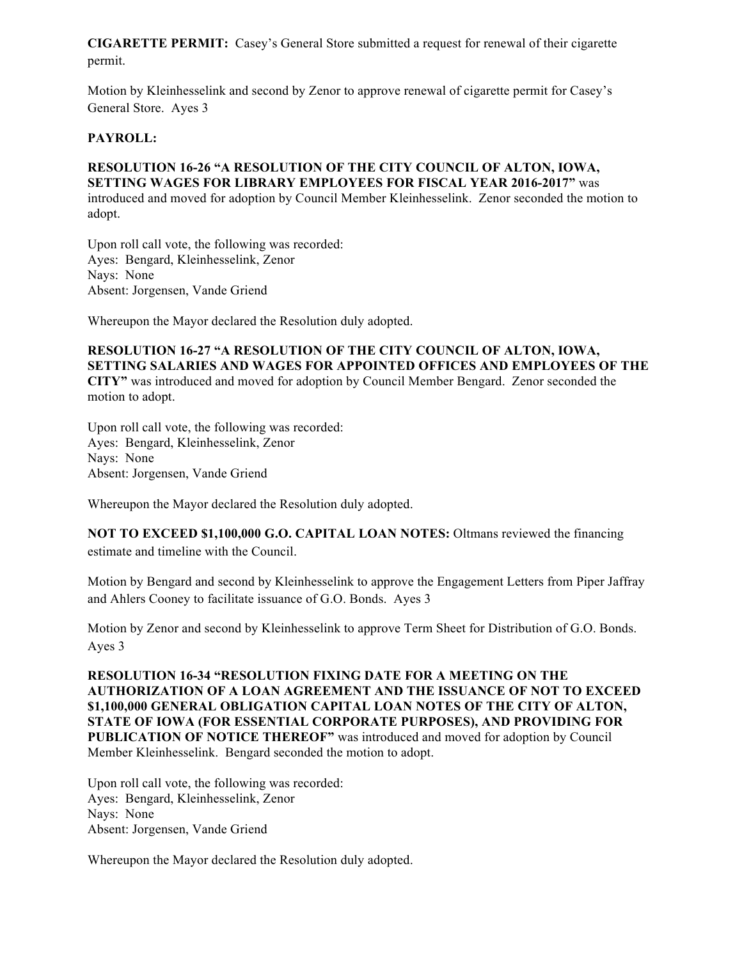**CIGARETTE PERMIT:** Casey's General Store submitted a request for renewal of their cigarette permit.

Motion by Kleinhesselink and second by Zenor to approve renewal of cigarette permit for Casey's General Store. Ayes 3

### **PAYROLL:**

# **RESOLUTION 16-26 "A RESOLUTION OF THE CITY COUNCIL OF ALTON, IOWA, SETTING WAGES FOR LIBRARY EMPLOYEES FOR FISCAL YEAR 2016-2017"** was

introduced and moved for adoption by Council Member Kleinhesselink. Zenor seconded the motion to adopt.

Upon roll call vote, the following was recorded: Ayes: Bengard, Kleinhesselink, Zenor Nays: None Absent: Jorgensen, Vande Griend

Whereupon the Mayor declared the Resolution duly adopted.

**RESOLUTION 16-27 "A RESOLUTION OF THE CITY COUNCIL OF ALTON, IOWA, SETTING SALARIES AND WAGES FOR APPOINTED OFFICES AND EMPLOYEES OF THE CITY"** was introduced and moved for adoption by Council Member Bengard. Zenor seconded the motion to adopt.

Upon roll call vote, the following was recorded: Ayes: Bengard, Kleinhesselink, Zenor Nays: None Absent: Jorgensen, Vande Griend

Whereupon the Mayor declared the Resolution duly adopted.

**NOT TO EXCEED \$1,100,000 G.O. CAPITAL LOAN NOTES:** Oltmans reviewed the financing estimate and timeline with the Council.

Motion by Bengard and second by Kleinhesselink to approve the Engagement Letters from Piper Jaffray and Ahlers Cooney to facilitate issuance of G.O. Bonds. Ayes 3

Motion by Zenor and second by Kleinhesselink to approve Term Sheet for Distribution of G.O. Bonds. Ayes 3

**RESOLUTION 16-34 "RESOLUTION FIXING DATE FOR A MEETING ON THE AUTHORIZATION OF A LOAN AGREEMENT AND THE ISSUANCE OF NOT TO EXCEED \$1,100,000 GENERAL OBLIGATION CAPITAL LOAN NOTES OF THE CITY OF ALTON, STATE OF IOWA (FOR ESSENTIAL CORPORATE PURPOSES), AND PROVIDING FOR PUBLICATION OF NOTICE THEREOF"** was introduced and moved for adoption by Council Member Kleinhesselink. Bengard seconded the motion to adopt.

Upon roll call vote, the following was recorded: Ayes: Bengard, Kleinhesselink, Zenor Nays: None Absent: Jorgensen, Vande Griend

Whereupon the Mayor declared the Resolution duly adopted.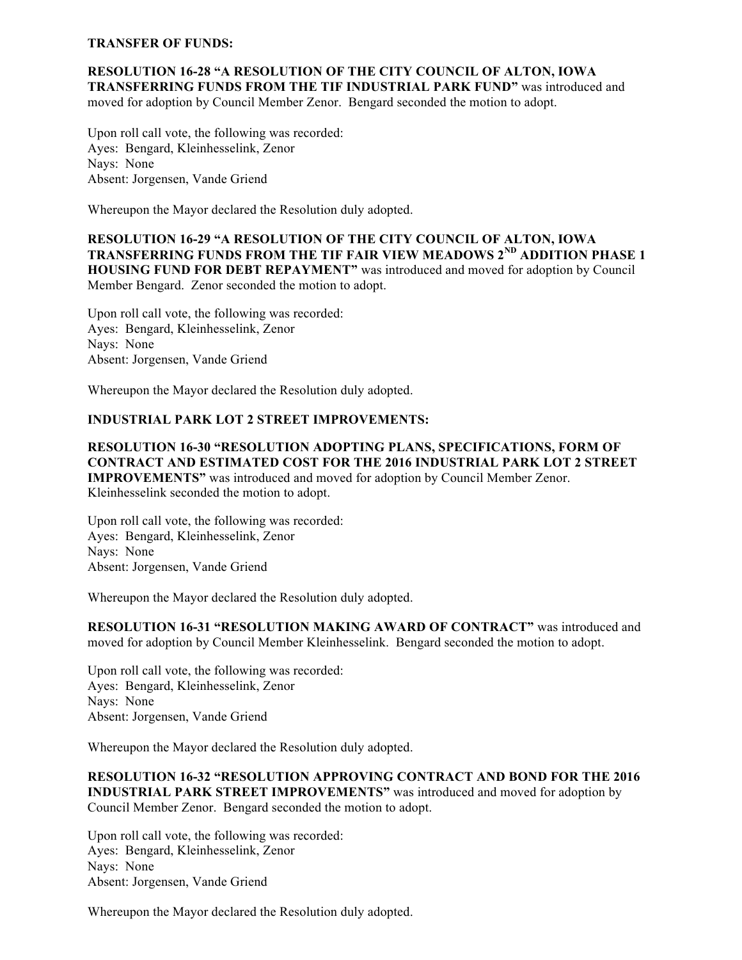#### **TRANSFER OF FUNDS:**

**RESOLUTION 16-28 "A RESOLUTION OF THE CITY COUNCIL OF ALTON, IOWA TRANSFERRING FUNDS FROM THE TIF INDUSTRIAL PARK FUND"** was introduced and moved for adoption by Council Member Zenor. Bengard seconded the motion to adopt.

Upon roll call vote, the following was recorded: Ayes: Bengard, Kleinhesselink, Zenor Nays: None Absent: Jorgensen, Vande Griend

Whereupon the Mayor declared the Resolution duly adopted.

**RESOLUTION 16-29 "A RESOLUTION OF THE CITY COUNCIL OF ALTON, IOWA TRANSFERRING FUNDS FROM THE TIF FAIR VIEW MEADOWS 2ND ADDITION PHASE 1 HOUSING FUND FOR DEBT REPAYMENT"** was introduced and moved for adoption by Council Member Bengard. Zenor seconded the motion to adopt.

Upon roll call vote, the following was recorded: Ayes: Bengard, Kleinhesselink, Zenor Nays: None Absent: Jorgensen, Vande Griend

Whereupon the Mayor declared the Resolution duly adopted.

### **INDUSTRIAL PARK LOT 2 STREET IMPROVEMENTS:**

**RESOLUTION 16-30 "RESOLUTION ADOPTING PLANS, SPECIFICATIONS, FORM OF CONTRACT AND ESTIMATED COST FOR THE 2016 INDUSTRIAL PARK LOT 2 STREET IMPROVEMENTS"** was introduced and moved for adoption by Council Member Zenor. Kleinhesselink seconded the motion to adopt.

Upon roll call vote, the following was recorded: Ayes: Bengard, Kleinhesselink, Zenor Nays: None Absent: Jorgensen, Vande Griend

Whereupon the Mayor declared the Resolution duly adopted.

**RESOLUTION 16-31 "RESOLUTION MAKING AWARD OF CONTRACT"** was introduced and moved for adoption by Council Member Kleinhesselink. Bengard seconded the motion to adopt.

Upon roll call vote, the following was recorded: Ayes: Bengard, Kleinhesselink, Zenor Nays: None Absent: Jorgensen, Vande Griend

Whereupon the Mayor declared the Resolution duly adopted.

**RESOLUTION 16-32 "RESOLUTION APPROVING CONTRACT AND BOND FOR THE 2016 INDUSTRIAL PARK STREET IMPROVEMENTS"** was introduced and moved for adoption by Council Member Zenor. Bengard seconded the motion to adopt.

Upon roll call vote, the following was recorded: Ayes: Bengard, Kleinhesselink, Zenor Nays: None Absent: Jorgensen, Vande Griend

Whereupon the Mayor declared the Resolution duly adopted.